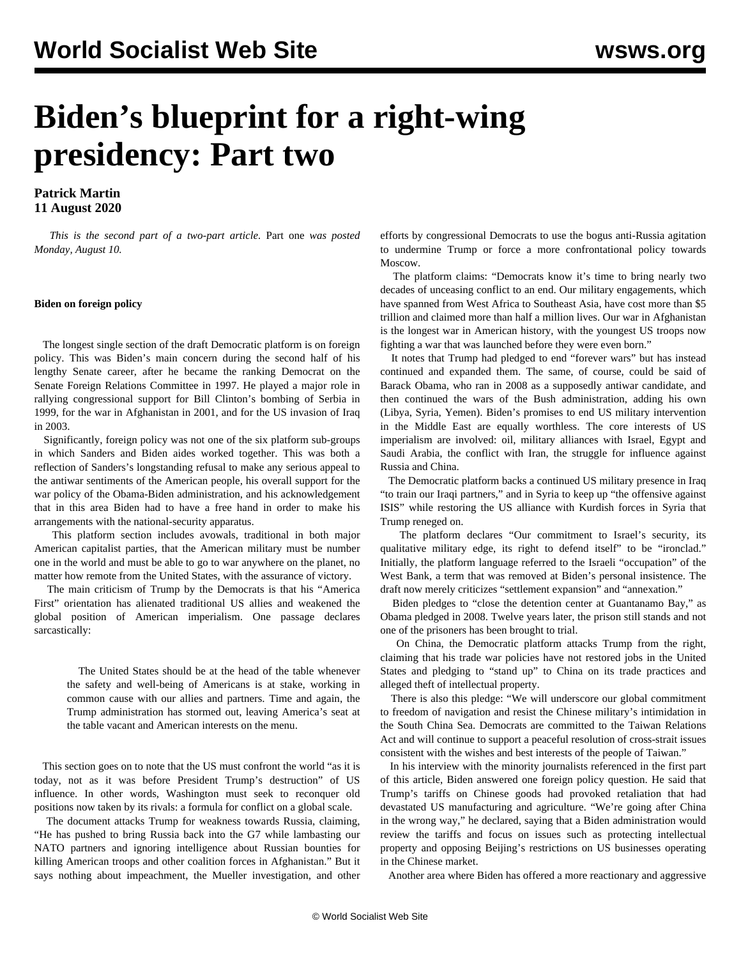# **Biden's blueprint for a right-wing presidency: Part two**

### **Patrick Martin 11 August 2020**

 *This is the second part of a two-part article.* [Part one](/en/articles/2020/08/10/bide-a10.html) *was posted Monday, August 10.*

#### **Biden on foreign policy**

 The longest single section of the draft Democratic platform is on foreign policy. This was Biden's main concern during the second half of his lengthy Senate career, after he became the ranking Democrat on the Senate Foreign Relations Committee in 1997. He played a major role in rallying congressional support for Bill Clinton's bombing of Serbia in 1999, for the war in Afghanistan in 2001, and for the US invasion of Iraq in 2003.

 Significantly, foreign policy was not one of the six platform sub-groups in which Sanders and Biden aides worked together. This was both a reflection of Sanders's longstanding refusal to make any serious appeal to the antiwar sentiments of the American people, his overall support for the war policy of the Obama-Biden administration, and his acknowledgement that in this area Biden had to have a free hand in order to make his arrangements with the national-security apparatus.

 This platform section includes avowals, traditional in both major American capitalist parties, that the American military must be number one in the world and must be able to go to war anywhere on the planet, no matter how remote from the United States, with the assurance of victory.

 The main criticism of Trump by the Democrats is that his "America First" orientation has alienated traditional US allies and weakened the global position of American imperialism. One passage declares sarcastically:

 The United States should be at the head of the table whenever the safety and well-being of Americans is at stake, working in common cause with our allies and partners. Time and again, the Trump administration has stormed out, leaving America's seat at the table vacant and American interests on the menu.

 This section goes on to note that the US must confront the world "as it is today, not as it was before President Trump's destruction" of US influence. In other words, Washington must seek to reconquer old positions now taken by its rivals: a formula for conflict on a global scale.

 The document attacks Trump for weakness towards Russia, claiming, "He has pushed to bring Russia back into the G7 while lambasting our NATO partners and ignoring intelligence about Russian bounties for killing American troops and other coalition forces in Afghanistan." But it says nothing about impeachment, the Mueller investigation, and other

efforts by congressional Democrats to use the bogus anti-Russia agitation to undermine Trump or force a more confrontational policy towards Moscow.

 The platform claims: "Democrats know it's time to bring nearly two decades of unceasing conflict to an end. Our military engagements, which have spanned from West Africa to Southeast Asia, have cost more than \$5 trillion and claimed more than half a million lives. Our war in Afghanistan is the longest war in American history, with the youngest US troops now fighting a war that was launched before they were even born."

 It notes that Trump had pledged to end "forever wars" but has instead continued and expanded them. The same, of course, could be said of Barack Obama, who ran in 2008 as a supposedly antiwar candidate, and then continued the wars of the Bush administration, adding his own (Libya, Syria, Yemen). Biden's promises to end US military intervention in the Middle East are equally worthless. The core interests of US imperialism are involved: oil, military alliances with Israel, Egypt and Saudi Arabia, the conflict with Iran, the struggle for influence against Russia and China.

 The Democratic platform backs a continued US military presence in Iraq "to train our Iraqi partners," and in Syria to keep up "the offensive against ISIS" while restoring the US alliance with Kurdish forces in Syria that Trump reneged on.

 The platform declares "Our commitment to Israel's security, its qualitative military edge, its right to defend itself" to be "ironclad." Initially, the platform language referred to the Israeli "occupation" of the West Bank, a term that was removed at Biden's personal insistence. The draft now merely criticizes "settlement expansion" and "annexation."

 Biden pledges to "close the detention center at Guantanamo Bay," as Obama pledged in 2008. Twelve years later, the prison still stands and not one of the prisoners has been brought to trial.

 On China, the Democratic platform attacks Trump from the right, claiming that his trade war policies have not restored jobs in the United States and pledging to "stand up" to China on its trade practices and alleged theft of intellectual property.

 There is also this pledge: "We will underscore our global commitment to freedom of navigation and resist the Chinese military's intimidation in the South China Sea. Democrats are committed to the Taiwan Relations Act and will continue to support a peaceful resolution of cross-strait issues consistent with the wishes and best interests of the people of Taiwan."

 In his interview with the minority journalists referenced in the first part of this article, Biden answered one foreign policy question. He said that Trump's tariffs on Chinese goods had provoked retaliation that had devastated US manufacturing and agriculture. "We're going after China in the wrong way," he declared, saying that a Biden administration would review the tariffs and focus on issues such as protecting intellectual property and opposing Beijing's restrictions on US businesses operating in the Chinese market.

Another area where Biden has offered a more reactionary and aggressive